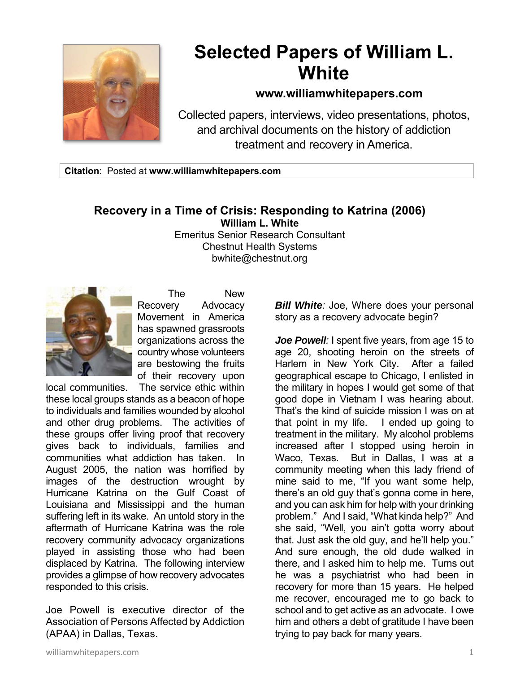

## **Selected Papers of William L. White**

## **www.williamwhitepapers.com**

Collected papers, interviews, video presentations, photos, and archival documents on the history of addiction treatment and recovery in America.

**Citation**: Posted at **www.williamwhitepapers.com** 

## **Recovery in a Time of Crisis: Responding to Katrina (2006) William L. White**

Emeritus Senior Research Consultant Chestnut Health Systems bwhite@chestnut.org



The New Recovery Advocacy Movement in America has spawned grassroots organizations across the country whose volunteers are bestowing the fruits of their recovery upon

local communities. The service ethic within these local groups stands as a beacon of hope to individuals and families wounded by alcohol and other drug problems. The activities of these groups offer living proof that recovery gives back to individuals, families and communities what addiction has taken. In August 2005, the nation was horrified by images of the destruction wrought by Hurricane Katrina on the Gulf Coast of Louisiana and Mississippi and the human suffering left in its wake. An untold story in the aftermath of Hurricane Katrina was the role recovery community advocacy organizations played in assisting those who had been displaced by Katrina. The following interview provides a glimpse of how recovery advocates responded to this crisis.

Joe Powell is executive director of the Association of Persons Affected by Addiction (APAA) in Dallas, Texas.

*Bill White: Joe, Where does your personal* story as a recovery advocate begin?

*Joe Powell:* I spent five years, from age 15 to age 20, shooting heroin on the streets of Harlem in New York City. After a failed geographical escape to Chicago, I enlisted in the military in hopes I would get some of that good dope in Vietnam I was hearing about. That's the kind of suicide mission I was on at that point in my life. I ended up going to treatment in the military. My alcohol problems increased after I stopped using heroin in Waco, Texas. But in Dallas, I was at a community meeting when this lady friend of mine said to me, "If you want some help, there's an old guy that's gonna come in here, and you can ask him for help with your drinking problem." And I said, "What kinda help?" And she said, "Well, you ain't gotta worry about that. Just ask the old guy, and he'll help you." And sure enough, the old dude walked in there, and I asked him to help me. Turns out he was a psychiatrist who had been in recovery for more than 15 years. He helped me recover, encouraged me to go back to school and to get active as an advocate. I owe him and others a debt of gratitude I have been trying to pay back for many years.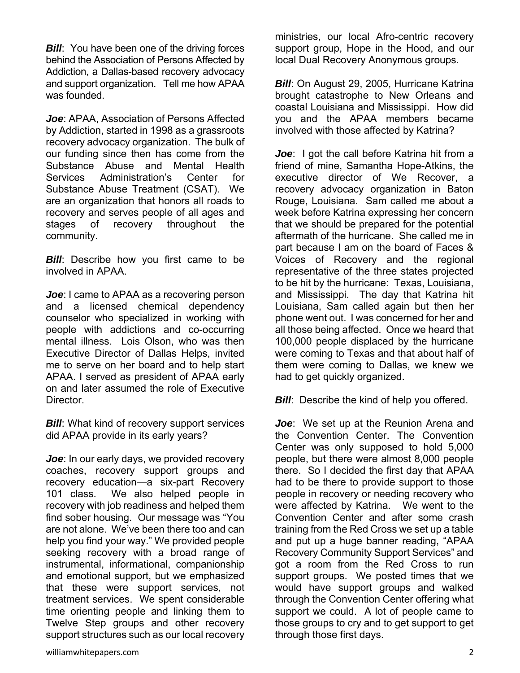*Bill:* You have been one of the driving forces behind the Association of Persons Affected by Addiction, a Dallas-based recovery advocacy and support organization. Tell me how APAA was founded.

*Joe*: APAA, Association of Persons Affected by Addiction, started in 1998 as a grassroots recovery advocacy organization. The bulk of our funding since then has come from the Substance Abuse and Mental Health Services Administration's Center for Substance Abuse Treatment (CSAT). We are an organization that honors all roads to recovery and serves people of all ages and stages of recovery throughout the community.

*Bill*: Describe how you first came to be involved in APAA.

*Joe:* I came to APAA as a recovering person and a licensed chemical dependency counselor who specialized in working with people with addictions and co-occurring mental illness. Lois Olson, who was then Executive Director of Dallas Helps, invited me to serve on her board and to help start APAA. I served as president of APAA early on and later assumed the role of Executive **Director** 

**Bill:** What kind of recovery support services did APAA provide in its early years?

**Joe**: In our early days, we provided recovery coaches, recovery support groups and recovery education—a six-part Recovery 101 class. We also helped people in recovery with job readiness and helped them find sober housing. Our message was "You are not alone. We've been there too and can help you find your way." We provided people seeking recovery with a broad range of instrumental, informational, companionship and emotional support, but we emphasized that these were support services, not treatment services. We spent considerable time orienting people and linking them to Twelve Step groups and other recovery support structures such as our local recovery ministries, our local Afro-centric recovery support group, Hope in the Hood, and our local Dual Recovery Anonymous groups.

*Bill*: On August 29, 2005, Hurricane Katrina brought catastrophe to New Orleans and coastal Louisiana and Mississippi. How did you and the APAA members became involved with those affected by Katrina?

*Joe*: I got the call before Katrina hit from a friend of mine, Samantha Hope-Atkins, the executive director of We Recover, a recovery advocacy organization in Baton Rouge, Louisiana. Sam called me about a week before Katrina expressing her concern that we should be prepared for the potential aftermath of the hurricane. She called me in part because I am on the board of Faces & Voices of Recovery and the regional representative of the three states projected to be hit by the hurricane: Texas, Louisiana, and Mississippi. The day that Katrina hit Louisiana, Sam called again but then her phone went out. I was concerned for her and all those being affected. Once we heard that 100,000 people displaced by the hurricane were coming to Texas and that about half of them were coming to Dallas, we knew we had to get quickly organized.

*Bill:* Describe the kind of help you offered.

*Joe*: We set up at the Reunion Arena and the Convention Center. The Convention Center was only supposed to hold 5,000 people, but there were almost 8,000 people there. So I decided the first day that APAA had to be there to provide support to those people in recovery or needing recovery who were affected by Katrina. We went to the Convention Center and after some crash training from the Red Cross we set up a table and put up a huge banner reading, "APAA Recovery Community Support Services" and got a room from the Red Cross to run support groups. We posted times that we would have support groups and walked through the Convention Center offering what support we could. A lot of people came to those groups to cry and to get support to get through those first days.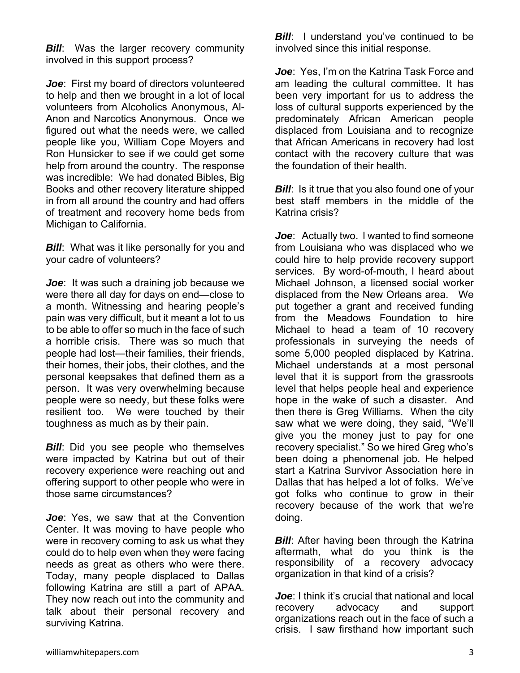*Bill***:** Was the larger recovery community involved in this support process?

*Joe*: First my board of directors volunteered to help and then we brought in a lot of local volunteers from Alcoholics Anonymous, Al-Anon and Narcotics Anonymous. Once we figured out what the needs were, we called people like you, William Cope Moyers and Ron Hunsicker to see if we could get some help from around the country. The response was incredible: We had donated Bibles, Big Books and other recovery literature shipped in from all around the country and had offers of treatment and recovery home beds from Michigan to California.

**Bill:** What was it like personally for you and your cadre of volunteers?

*Joe*: It was such a draining job because we were there all day for days on end—close to a month. Witnessing and hearing people's pain was very difficult, but it meant a lot to us to be able to offer so much in the face of such a horrible crisis. There was so much that people had lost—their families, their friends, their homes, their jobs, their clothes, and the personal keepsakes that defined them as a person. It was very overwhelming because people were so needy, but these folks were resilient too. We were touched by their toughness as much as by their pain.

*Bill*: Did you see people who themselves were impacted by Katrina but out of their recovery experience were reaching out and offering support to other people who were in those same circumstances?

*Joe*: Yes, we saw that at the Convention Center. It was moving to have people who were in recovery coming to ask us what they could do to help even when they were facing needs as great as others who were there. Today, many people displaced to Dallas following Katrina are still a part of APAA. They now reach out into the community and talk about their personal recovery and surviving Katrina.

**Bill:** I understand you've continued to be involved since this initial response.

*Joe*: Yes, I'm on the Katrina Task Force and am leading the cultural committee. It has been very important for us to address the loss of cultural supports experienced by the predominately African American people displaced from Louisiana and to recognize that African Americans in recovery had lost contact with the recovery culture that was the foundation of their health.

*Bill:* Is it true that you also found one of your best staff members in the middle of the Katrina crisis?

*Joe*: Actually two. I wanted to find someone from Louisiana who was displaced who we could hire to help provide recovery support services. By word-of-mouth, I heard about Michael Johnson, a licensed social worker displaced from the New Orleans area. We put together a grant and received funding from the Meadows Foundation to hire Michael to head a team of 10 recovery professionals in surveying the needs of some 5,000 peopled displaced by Katrina. Michael understands at a most personal level that it is support from the grassroots level that helps people heal and experience hope in the wake of such a disaster. And then there is Greg Williams. When the city saw what we were doing, they said, "We'll give you the money just to pay for one recovery specialist." So we hired Greg who's been doing a phenomenal job. He helped start a Katrina Survivor Association here in Dallas that has helped a lot of folks. We've got folks who continue to grow in their recovery because of the work that we're doing.

*Bill:* After having been through the Katrina aftermath, what do you think is the responsibility of a recovery advocacy organization in that kind of a crisis?

*Joe*: I think it's crucial that national and local recovery advocacy and support organizations reach out in the face of such a crisis. I saw firsthand how important such